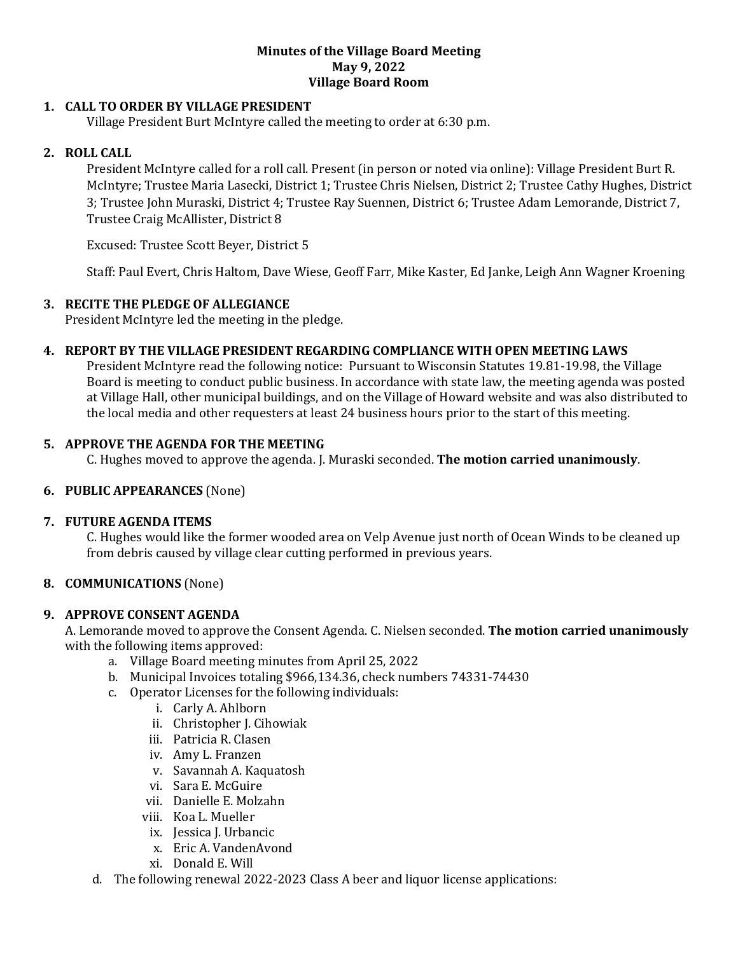#### **Minutes of the Village Board Meeting May 9, 2022 Village Board Room**

## **1. CALL TO ORDER BY VILLAGE PRESIDENT**

Village President Burt McIntyre called the meeting to order at 6:30 p.m.

## **2. ROLL CALL**

President McIntyre called for a roll call. Present (in person or noted via online): Village President Burt R. McIntyre; Trustee Maria Lasecki, District 1; Trustee Chris Nielsen, District 2; Trustee Cathy Hughes, District 3; Trustee John Muraski, District 4; Trustee Ray Suennen, District 6; Trustee Adam Lemorande, District 7, Trustee Craig McAllister, District 8

Excused: Trustee Scott Beyer, District 5

Staff: Paul Evert, Chris Haltom, Dave Wiese, Geoff Farr, Mike Kaster, Ed Janke, Leigh Ann Wagner Kroening

#### **3. RECITE THE PLEDGE OF ALLEGIANCE**

President McIntyre led the meeting in the pledge.

#### **4. REPORT BY THE VILLAGE PRESIDENT REGARDING COMPLIANCE WITH OPEN MEETING LAWS**

President McIntyre read the following notice: Pursuant to Wisconsin Statutes 19.81-19.98, the Village Board is meeting to conduct public business. In accordance with state law, the meeting agenda was posted at Village Hall, other municipal buildings, and on the Village of Howard website and was also distributed to the local media and other requesters at least 24 business hours prior to the start of this meeting.

#### **5. APPROVE THE AGENDA FOR THE MEETING**

C. Hughes moved to approve the agenda. J. Muraski seconded. **The motion carried unanimously**.

#### **6. PUBLIC APPEARANCES** (None)

#### **7. FUTURE AGENDA ITEMS**

C. Hughes would like the former wooded area on Velp Avenue just north of Ocean Winds to be cleaned up from debris caused by village clear cutting performed in previous years.

## **8. COMMUNICATIONS** (None)

#### **9. APPROVE CONSENT AGENDA**

A. Lemorande moved to approve the Consent Agenda. C. Nielsen seconded. **The motion carried unanimously** with the following items approved:

- a. Village Board meeting minutes from April 25, 2022
- b. Municipal Invoices totaling \$966,134.36, check numbers 74331-74430
- c. Operator Licenses for the following individuals:
	- i. Carly A. Ahlborn
	- ii. Christopher J. Cihowiak
	- iii. Patricia R. Clasen
	- iv. Amy L. Franzen
	- v. Savannah A. Kaquatosh
	- vi. Sara E. McGuire
	- vii. Danielle E. Molzahn
	- viii. Koa L. Mueller
	- ix. Jessica J. Urbancic
	- x. Eric A. VandenAvond
	- xi. Donald E. Will
- d. The following renewal 2022-2023 Class A beer and liquor license applications: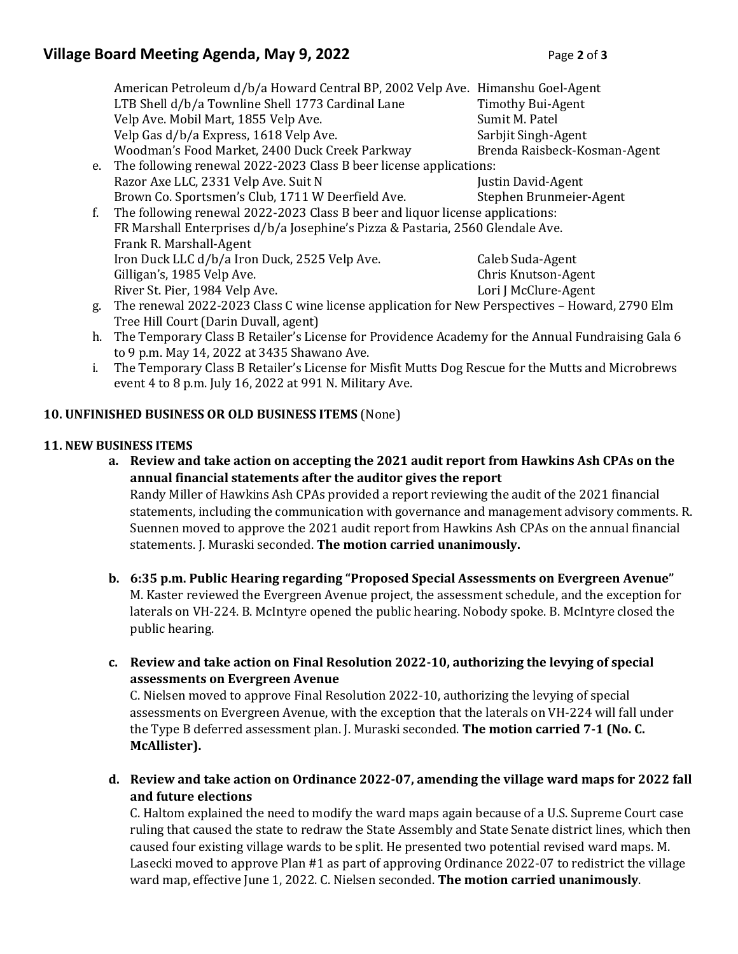# **Village Board Meeting Agenda, May 9, 2022** Page 2 of 3

|    | American Petroleum d/b/a Howard Central BP, 2002 Velp Ave. Himanshu Goel-Agent                 |                              |
|----|------------------------------------------------------------------------------------------------|------------------------------|
|    | LTB Shell d/b/a Townline Shell 1773 Cardinal Lane                                              | <b>Timothy Bui-Agent</b>     |
|    | Velp Ave. Mobil Mart, 1855 Velp Ave.                                                           | Sumit M. Patel               |
|    | Velp Gas d/b/a Express, 1618 Velp Ave.                                                         | Sarbjit Singh-Agent          |
|    | Woodman's Food Market, 2400 Duck Creek Parkway                                                 | Brenda Raisbeck-Kosman-Agent |
| e. | The following renewal 2022-2023 Class B beer license applications:                             |                              |
|    | Razor Axe LLC, 2331 Velp Ave. Suit N                                                           | Justin David-Agent           |
|    | Brown Co. Sportsmen's Club, 1711 W Deerfield Ave.                                              | Stephen Brunmeier-Agent      |
| f. | The following renewal 2022-2023 Class B beer and liquor license applications:                  |                              |
|    | FR Marshall Enterprises d/b/a Josephine's Pizza & Pastaria, 2560 Glendale Ave.                 |                              |
|    | Frank R. Marshall-Agent                                                                        |                              |
|    | Iron Duck LLC d/b/a Iron Duck, 2525 Velp Ave.                                                  | Caleb Suda-Agent             |
|    | Gilligan's, 1985 Velp Ave.                                                                     | Chris Knutson-Agent          |
|    | River St. Pier, 1984 Velp Ave.                                                                 | Lori J McClure-Agent         |
| g. | The renewal 2022-2023 Class C wine license application for New Perspectives - Howard, 2790 Elm |                              |
|    | Tree Hill Court (Darin Duvall, agent)                                                          |                              |
|    |                                                                                                |                              |

- h. The Temporary Class B Retailer's License for Providence Academy for the Annual Fundraising Gala 6 to 9 p.m. May 14, 2022 at 3435 Shawano Ave.
- i. The Temporary Class B Retailer's License for Misfit Mutts Dog Rescue for the Mutts and Microbrews event 4 to 8 p.m. July 16, 2022 at 991 N. Military Ave.

## **10. UNFINISHED BUSINESS OR OLD BUSINESS ITEMS** (None)

## **11. NEW BUSINESS ITEMS**

**a. Review and take action on accepting the 2021 audit report from Hawkins Ash CPAs on the annual financial statements after the auditor gives the report**

Randy Miller of Hawkins Ash CPAs provided a report reviewing the audit of the 2021 financial statements, including the communication with governance and management advisory comments. R. Suennen moved to approve the 2021 audit report from Hawkins Ash CPAs on the annual financial statements. J. Muraski seconded. **The motion carried unanimously.**

- **b. 6:35 p.m. Public Hearing regarding "Proposed Special Assessments on Evergreen Avenue"** M. Kaster reviewed the Evergreen Avenue project, the assessment schedule, and the exception for laterals on VH-224. B. McIntyre opened the public hearing. Nobody spoke. B. McIntyre closed the public hearing.
- **c. Review and take action on Final Resolution 2022-10, authorizing the levying of special assessments on Evergreen Avenue**

C. Nielsen moved to approve Final Resolution 2022-10, authorizing the levying of special assessments on Evergreen Avenue, with the exception that the laterals on VH-224 will fall under the Type B deferred assessment plan. J. Muraski seconded. **The motion carried 7-1 (No. C. McAllister).** 

**d. Review and take action on Ordinance 2022-07, amending the village ward maps for 2022 fall and future elections**

C. Haltom explained the need to modify the ward maps again because of a U.S. Supreme Court case ruling that caused the state to redraw the State Assembly and State Senate district lines, which then caused four existing village wards to be split. He presented two potential revised ward maps. M. Lasecki moved to approve Plan #1 as part of approving Ordinance 2022-07 to redistrict the village ward map, effective June 1, 2022. C. Nielsen seconded. **The motion carried unanimously**.